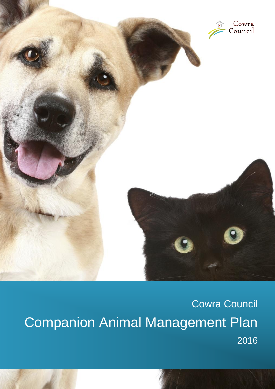

Cowra Council Companion Animal Management Plan 2016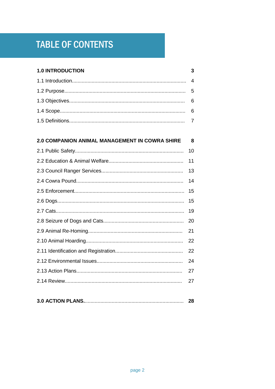# **TABLE OF CONTENTS**

### **1.0 INTRODUCTION**

 $\mathbf{3}$ 

#### 2.0 COMPANION ANIMAL MANAGEMENT IN COWRA SHIRE  $\pmb{8}$

| 11 |
|----|
| 13 |
| 14 |
| 15 |
| 15 |
| 19 |
| 20 |
| 21 |
| 22 |
| 22 |
| 24 |
| 27 |
| 27 |
|    |

|--|--|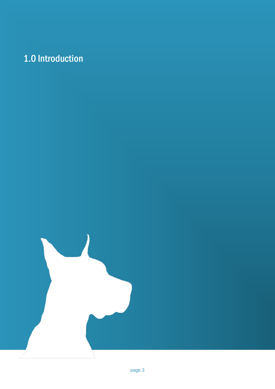# 1.0 Introduction

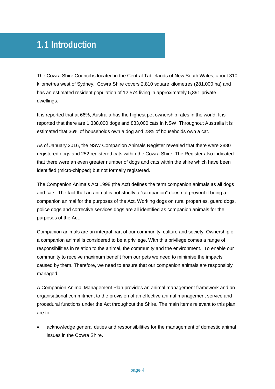### 1.1 Introduction

The Cowra Shire Council is located in the Central Tablelands of New South Wales, about 310 kilometres west of Sydney. Cowra Shire covers 2,810 square kilometres (281,000 ha) and has an estimated resident population of 12,574 living in approximately 5,891 private dwellings.

It is reported that at 66%, Australia has the highest pet ownership rates in the world. It is reported that there are 1,338,000 dogs and 883,000 cats in NSW. Throughout Australia it is estimated that 36% of households own a dog and 23% of households own a cat.

As of January 2016, the NSW Companion Animals Register revealed that there were 2880 registered dogs and 252 registered cats within the Cowra Shire. The Register also indicated that there were an even greater number of dogs and cats within the shire which have been identified (micro-chipped) but not formally registered.

The Companion Animals Act 1998 (the Act) defines the term companion animals as all dogs and cats. The fact that an animal is not strictly a "companion" does not prevent it being a companion animal for the purposes of the Act. Working dogs on rural properties, guard dogs, police dogs and corrective services dogs are all identified as companion animals for the purposes of the Act.

Companion animals are an integral part of our community, culture and society. Ownership of a companion animal is considered to be a privilege. With this privilege comes a range of responsibilities in relation to the animal, the community and the environment. To enable our community to receive maximum benefit from our pets we need to minimise the impacts caused by them. Therefore, we need to ensure that our companion animals are responsibly managed.

A Companion Animal Management Plan provides an animal management framework and an organisational commitment to the provision of an effective animal management service and procedural functions under the Act throughout the Shire. The main items relevant to this plan are to:

 acknowledge general duties and responsibilities for the management of domestic animal issues in the Cowra Shire.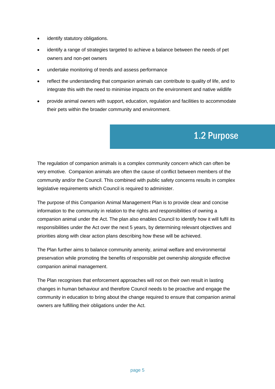- identify statutory obligations.
- identify a range of strategies targeted to achieve a balance between the needs of pet owners and non-pet owners
- undertake monitoring of trends and assess performance
- reflect the understanding that companion animals can contribute to quality of life, and to integrate this with the need to minimise impacts on the environment and native wildlife
- provide animal owners with support, education, regulation and facilities to accommodate their pets within the broader community and environment.

# 1.2 Purpose

The regulation of companion animals is a complex community concern which can often be very emotive. Companion animals are often the cause of conflict between members of the community and/or the Council. This combined with public safety concerns results in complex legislative requirements which Council is required to administer.

The purpose of this Companion Animal Management Plan is to provide clear and concise information to the community in relation to the rights and responsibilities of owning a companion animal under the Act. The plan also enables Council to identify how it will fulfil its responsibilities under the Act over the next 5 years, by determining relevant objectives and priorities along with clear action plans describing how these will be achieved.

The Plan further aims to balance community amenity, animal welfare and environmental preservation while promoting the benefits of responsible pet ownership alongside effective companion animal management.

The Plan recognises that enforcement approaches will not on their own result in lasting changes in human behaviour and therefore Council needs to be proactive and engage the community in education to bring about the change required to ensure that companion animal owners are fulfilling their obligations under the Act.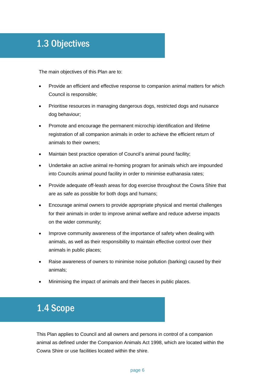### 1.3 Objectives

The main objectives of this Plan are to:

- Provide an efficient and effective response to companion animal matters for which Council is responsible;
- Prioritise resources in managing dangerous dogs, restricted dogs and nuisance dog behaviour;
- Promote and encourage the permanent microchip identification and lifetime registration of all companion animals in order to achieve the efficient return of animals to their owners;
- Maintain best practice operation of Council's animal pound facility;
- Undertake an active animal re-homing program for animals which are impounded into Councils animal pound facility in order to minimise euthanasia rates;
- Provide adequate off-leash areas for dog exercise throughout the Cowra Shire that are as safe as possible for both dogs and humans;
- Encourage animal owners to provide appropriate physical and mental challenges for their animals in order to improve animal welfare and reduce adverse impacts on the wider community;
- Improve community awareness of the importance of safety when dealing with animals, as well as their responsibility to maintain effective control over their animals in public places;
- Raise awareness of owners to minimise noise pollution (barking) caused by their animals;
- Minimising the impact of animals and their faeces in public places.

# 1.4 Scope

This Plan applies to Council and all owners and persons in control of a companion animal as defined under the Companion Animals Act 1998, which are located within the Cowra Shire or use facilities located within the shire.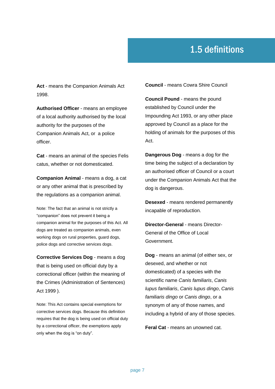# 1.5 definitions

**Act** - means the Companion Animals Act 1998.

**Authorised Officer** - means an employee of a local authority authorised by the local authority for the purposes of the Companion Animals Act, or a police officer.

**Cat** - means an animal of the species Felis catus, whether or not domesticated.

**Companion Animal** - means a dog, a cat or any other animal that is prescribed by the regulations as a companion animal.

Note: The fact that an animal is not strictly a "companion" does not prevent it being a [companion animal](http://www.austlii.edu.au/au/legis/nsw/consol_act/caa1998174/s5.html#companion_animal) for the purposes of this Act. All dogs are treated as [companion animals,](http://www.austlii.edu.au/au/legis/nsw/consol_act/caa1998174/s5.html#companion_animal) even [working dogs](http://www.austlii.edu.au/au/legis/nsw/consol_act/caa1998174/s5.html#working_dog) on rural properties, guard dogs, [police dogs](http://www.austlii.edu.au/au/legis/nsw/consol_act/caa1998174/s5.html#police_dog) an[d corrective services dogs.](http://www.austlii.edu.au/au/legis/nsw/consol_act/caa1998174/s5.html#corrective_services_dog) 

**Corrective Services Dog** - means a dog that is being used on official duty by a correctional officer (within the meaning of the [Crimes \(Administration of Sentences\)](http://www.austlii.edu.au/au/legis/nsw/consol_act/cosa1999348/)  [Act](http://www.austlii.edu.au/au/legis/nsw/consol_act/cosa1999348/) [1999](http://www.austlii.edu.au/au/legis/nsw/consol_act/cosa1999348/) ).

Note: This Act contains special exemptions for [corrective services dogs.](http://www.austlii.edu.au/au/legis/nsw/consol_act/caa1998174/s5.html#corrective_services_dog) Because this definition requires that the dog is being used on official duty by a correctional officer, the exemptions apply only when the dog is "on duty".

**Council** - means Cowra Shire Council

**Council Pound** - means the pound established by Council under the Impounding Act 1993, or any other place approved by Council as a place for the holding of animals for the purposes of this Act.

**Dangerous Dog** - means a dog for the time being the subject of a declaration by an authorised officer of Council or a court under the Companion Animals Act that the dog is dangerous.

**Desexed** - means rendered permanently incapable of reproduction.

**Director-General** - means Director-General of the Office of Local Government.

**Dog** - means an animal (of either sex, or desexed, and whether or not domesticated) of a species with the scientific name *Canis familiaris*, *Canis lupus familiaris*, *Canis lupus dingo*, *Canis familiaris dingo* or *Canis dingo*, or a synonym of any of those names, and including a hybrid of any of those species.

**Feral Cat** - means an unowned cat.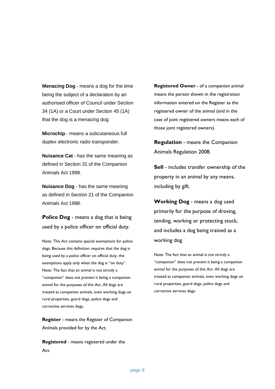**Menacing Dog** - means a dog for the time being the subject of a declaration by an authorised officer of Council under Section 34 (1A) or a Court under Section 45 (1A) that the dog is a menacing dog.

**Microchip** - means a subcutaneous full duplex electronic radio transponder.

**Nuisance Cat** - has the same meaning as defined in Section 31 of the Companion Animals Act 1998.

**Nuisance Dog** - has the same meaning as defined in Section 21 of the Companion Animals Act 1998.

**Police Dog** - means a dog that is being used by a police officer on official duty.

Note: This Act contains special exemptions fo[r police](http://www.austlii.edu.au/au/legis/nsw/consol_act/caa1998174/s5.html#police_dog)  [dogs.](http://www.austlii.edu.au/au/legis/nsw/consol_act/caa1998174/s5.html#police_dog) Because this definition requires that the dog is being used by a police officer on official duty, the exemptions apply only when the dog is "on duty". Note: The fact that an animal is not strictly a "companion" does not prevent it being a [companion](http://www.austlii.edu.au/au/legis/nsw/consol_act/caa1998174/s5.html#companion_animal)  [animal](http://www.austlii.edu.au/au/legis/nsw/consol_act/caa1998174/s5.html#companion_animal) for the purposes of this Act. All dogs are treated as [companion animals,](http://www.austlii.edu.au/au/legis/nsw/consol_act/caa1998174/s5.html#companion_animal) even [working dogs](http://www.austlii.edu.au/au/legis/nsw/consol_act/caa1998174/s5.html#working_dog) on rural properties, guard dogs, [police dogs](http://www.austlii.edu.au/au/legis/nsw/consol_act/caa1998174/s5.html#police_dog) and [corrective services dogs.](http://www.austlii.edu.au/au/legis/nsw/consol_act/caa1998174/s5.html#corrective_services_dog) 

**Register** - means the Register of Companion Animals provided for by the Act.

**Registered** - means registered under the Act.

**Registered Owner** - of a companion animal means the person shown in the registration information entered on the Register as the registered owner of the animal (and in the case of joint registered owners means each of those joint registered owners).

**Regulation** - means the Companion Animals Regulation 2008.

**Sell** - includes transfer ownership of the property in an animal by any means, including by gift.

**Working Dog** - means a dog used primarily for the purpose of droving, tending, working or protecting stock, and includes a dog being trained as a [working dog](http://www.austlii.edu.au/au/legis/nsw/consol_act/caa1998174/s5.html#working_dog)

Note: The fact that an animal is not strictly a "companion" does not prevent it being a [companion](http://www.austlii.edu.au/au/legis/nsw/consol_act/caa1998174/s5.html#companion_animal)  [animal](http://www.austlii.edu.au/au/legis/nsw/consol_act/caa1998174/s5.html#companion_animal) for the purposes of this Act. All dogs are treated as [companion animals,](http://www.austlii.edu.au/au/legis/nsw/consol_act/caa1998174/s5.html#companion_animal) eve[n working dogs](http://www.austlii.edu.au/au/legis/nsw/consol_act/caa1998174/s5.html#working_dog) on rural properties, guard dogs, [police dogs](http://www.austlii.edu.au/au/legis/nsw/consol_act/caa1998174/s5.html#police_dog) and [corrective services dogs.](http://www.austlii.edu.au/au/legis/nsw/consol_act/caa1998174/s5.html#corrective_services_dog)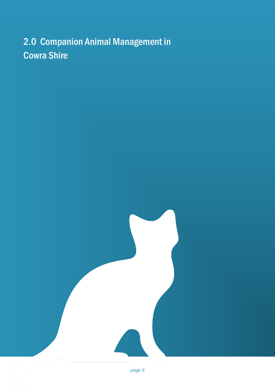# 2.0 Companion Animal Management in Cowra Shire

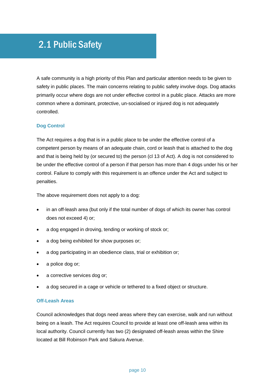# 2.1 Public Safety

A safe community is a high priority of this Plan and particular attention needs to be given to safety in public places. The main concerns relating to public safety involve dogs. Dog attacks primarily occur where dogs are not under effective control in a public place. Attacks are more common where a dominant, protective, un-socialised or injured dog is not adequately controlled.

### **Dog Control**

The Act requires a dog that is in a public place to be under the effective control of a competent person by means of an adequate chain, cord or leash that is attached to the dog and that is being held by (or secured to) the person (cl 13 of Act). A dog is not considered to be under the effective control of a person if that person has more than 4 dogs under his or her control. Failure to comply with this requirement is an offence under the Act and subject to penalties.

The above requirement does not apply to a dog:

- in an off-leash area (but only if the total number of dogs of which its owner has control does not exceed 4) or;
- a dog engaged in droving, tending or working of stock or;
- a dog being exhibited for show purposes or;
- a dog participating in an obedience class, trial or exhibition or;
- a police dog or;
- a corrective services dog or;
- a dog secured in a cage or vehicle or tethered to a fixed object or structure.

### **Off-Leash Areas**

Council acknowledges that dogs need areas where they can exercise, walk and run without being on a leash. The Act requires Council to provide at least one off-leash area within its local authority. Council currently has two (2) designated off-leash areas within the Shire located at Bill Robinson Park and Sakura Avenue.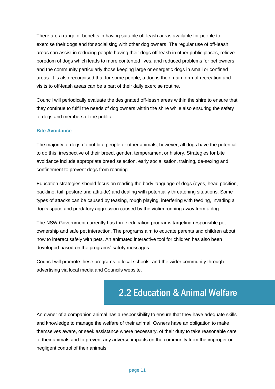There are a range of benefits in having suitable off-leash areas available for people to exercise their dogs and for socialising with other dog owners. The regular use of off-leash areas can assist in reducing people having their dogs off-leash in other public places, relieve boredom of dogs which leads to more contented lives, and reduced problems for pet owners and the community particularly those keeping large or energetic dogs in small or confined areas. It is also recognised that for some people, a dog is their main form of recreation and visits to off-leash areas can be a part of their daily exercise routine.

Council will periodically evaluate the designated off-leash areas within the shire to ensure that they continue to fulfil the needs of dog owners within the shire while also ensuring the safety of dogs and members of the public.

#### **Bite Avoidance**

The majority of dogs do not bite people or other animals, however, all dogs have the potential to do this, irrespective of their breed, gender, temperament or history. Strategies for bite avoidance include appropriate breed selection, early socialisation, training, de-sexing and confinement to prevent dogs from roaming.

Education strategies should focus on reading the body language of dogs (eyes, head position, backline, tail, posture and attitude) and dealing with potentially threatening situations. Some types of attacks can be caused by teasing, rough playing, interfering with feeding, invading a dog's space and predatory aggression caused by the victim running away from a dog.

The NSW Government currently has three education programs targeting responsible pet ownership and safe pet interaction. The programs aim to educate parents and children about how to interact safely with pets. An animated interactive tool for children has also been developed based on the programs' safety messages.

Council will promote these programs to local schools, and the wider community through advertising via local media and Councils website.

# 2.2 Education & Animal Welfare

An owner of a companion animal has a responsibility to ensure that they have adequate skills and knowledge to manage the welfare of their animal. Owners have an obligation to make themselves aware, or seek assistance where necessary, of their duty to take reasonable care of their animals and to prevent any adverse impacts on the community from the improper or negligent control of their animals.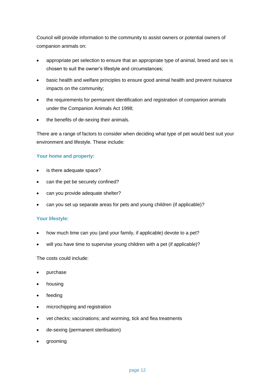Council will provide information to the community to assist owners or potential owners of companion animals on:

- appropriate pet selection to ensure that an appropriate type of animal, breed and sex is chosen to suit the owner's lifestyle and circumstances;
- basic health and welfare principles to ensure good animal health and prevent nuisance impacts on the community;
- the requirements for permanent identification and registration of companion animals under the Companion Animals Act 1998;
- the benefits of de-sexing their animals.

There are a range of factors to consider when deciding what type of pet would best suit your environment and lifestyle. These include:

### **Your home and property:**

- is there adequate space?
- can the pet be securely confined?
- can you provide adequate shelter?
- can you set up separate areas for pets and young children (if applicable)?

### **Your lifestyle:**

- how much time can you (and your family, if applicable) devote to a pet?
- will you have time to supervise young children with a pet (if applicable)?

The costs could include:

- purchase
- housing
- feeding
- microchipping and registration
- vet checks; vaccinations; and worming, tick and flea treatments
- de-sexing (permanent sterilisation)
- grooming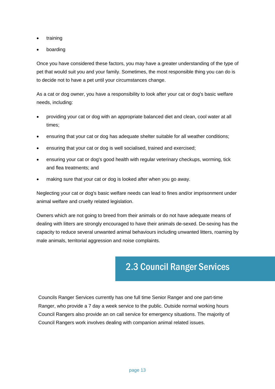- training
- boarding

Once you have considered these factors, you may have a greater understanding of the type of pet that would suit you and your family. Sometimes, the most responsible thing you can do is to decide not to have a pet until your circumstances change.

As a cat or dog owner, you have a responsibility to look after your cat or dog's basic welfare needs, including:

- providing your cat or dog with an appropriate balanced diet and clean, cool water at all times;
- ensuring that your cat or dog has adequate shelter suitable for all weather conditions;
- ensuring that your cat or dog is well socialised, trained and exercised;
- ensuring your cat or dog's good health with regular veterinary checkups, worming, tick and flea treatments; and
- making sure that your cat or dog is looked after when you go away.

Neglecting your cat or dog's basic welfare needs can lead to fines and/or imprisonment under animal welfare and cruelty related legislation.

Owners which are not going to breed from their animals or do not have adequate means of dealing with litters are strongly encouraged to have their animals de-sexed. De-sexing has the capacity to reduce several unwanted animal behaviours including unwanted litters, roaming by male animals, territorial aggression and noise complaints.

### 2.3 Council Ranger Services

Councils Ranger Services currently has one full time Senior Ranger and one part-time Ranger, who provide a 7 day a week service to the public. Outside normal working hours Council Rangers also provide an on call service for emergency situations. The majority of Council Rangers work involves dealing with companion animal related issues.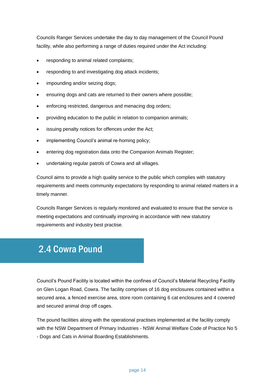Councils Ranger Services undertake the day to day management of the Council Pound facility, while also performing a range of duties required under the Act including:

- responding to animal related complaints;
- responding to and investigating dog attack incidents;
- impounding and/or seizing dogs;
- ensuring dogs and cats are returned to their owners where possible;
- enforcing restricted, dangerous and menacing dog orders;
- providing education to the public in relation to companion animals;
- issuing penalty notices for offences under the Act;
- implementing Council's animal re-homing policy;
- entering dog registration data onto the Companion Animals Register;
- undertaking regular patrols of Cowra and all villages.

Council aims to provide a high quality service to the public which complies with statutory requirements and meets community expectations by responding to animal related matters in a timely manner.

Councils Ranger Services is regularly monitored and evaluated to ensure that the service is meeting expectations and continually improving in accordance with new statutory requirements and industry best practise.

### 2.4 Cowra Pound

Council's Pound Facility is located within the confines of Council's Material Recycling Facility on Glen Logan Road, Cowra. The facility comprises of 16 dog enclosures contained within a secured area, a fenced exercise area, store room containing 6 cat enclosures and 4 covered and secured animal drop off cages.

The pound facilities along with the operational practises implemented at the facility comply with the NSW Department of Primary Industries - NSW Animal Welfare Code of Practice No 5 - Dogs and Cats in Animal Boarding Establishments.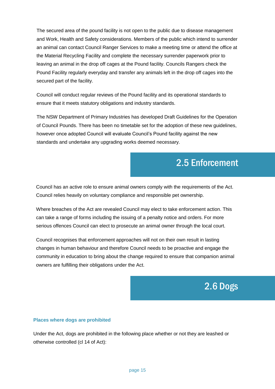The secured area of the pound facility is not open to the public due to disease management and Work, Health and Safety considerations. Members of the public which intend to surrender an animal can contact Council Ranger Services to make a meeting time or attend the office at the Material Recycling Facility and complete the necessary surrender paperwork prior to leaving an animal in the drop off cages at the Pound facility. Councils Rangers check the Pound Facility regularly everyday and transfer any animals left in the drop off cages into the secured part of the facility.

Council will conduct regular reviews of the Pound facility and its operational standards to ensure that it meets statutory obligations and industry standards.

The NSW Department of Primary Industries has developed Draft Guidelines for the Operation of Council Pounds. There has been no timetable set for the adoption of these new guidelines, however once adopted Council will evaluate Council's Pound facility against the new standards and undertake any upgrading works deemed necessary.

### 2.5 Enforcement

Council has an active role to ensure animal owners comply with the requirements of the Act. Council relies heavily on voluntary compliance and responsible pet ownership.

Where breaches of the Act are revealed Council may elect to take enforcement action. This can take a range of forms including the issuing of a penalty notice and orders. For more serious offences Council can elect to prosecute an animal owner through the local court.

Council recognises that enforcement approaches will not on their own result in lasting changes in human behaviour and therefore Council needs to be proactive and engage the community in education to bring about the change required to ensure that companion animal owners are fulfilling their obligations under the Act.

# 2.6 Dogs

#### **Places where dogs are prohibited**

Under the Act, dogs are prohibited in the following place whether or not they are leashed or otherwise controlled (cl 14 of Act):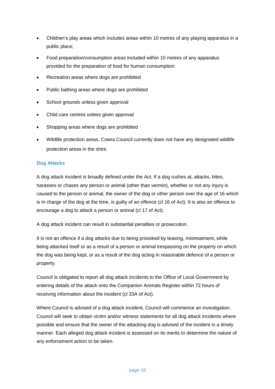- Children's play areas which includes areas within 10 metres of any playing apparatus in a public place;
- Food preparation/consumption areas included within 10 metres of any apparatus provided for the preparation of food for human consumption:
- Recreation areas where dogs are prohibited
- Public bathing areas where dogs are prohibited
- School grounds unless given approval
- Child care centres unless given approval
- Shopping areas where dogs are prohibited
- Wildlife protection areas. Cowra Council currently does not have any designated wildlife protection areas in the shire.

### **Dog Attacks**

A dog attack incident is broadly defined under the Act. If a dog rushes at, attacks, bites, harasses or chases any person or animal (other than vermin), whether or not any injury is caused to the person or animal, the owner of the dog or other person over the age of 16 which is in charge of the dog at the time, is guilty of an offence (cl 16 of Act). It is also an offence to encourage a dog to attack a person or animal (cl 17 of Act).

A dog attack incident can result in substantial penalties or prosecution.

It is not an offence if a dog attacks due to being provoked by teasing, mistreatment, while being attacked itself or as a result of a person or animal trespassing on the property on which the dog was being kept, or as a result of the dog acting in reasonable defence of a person or property.

Council is obligated to report all dog attack incidents to the Office of Local Government by entering details of the attack onto the Companion Animals Register within 72 hours of receiving information about the incident (cl 33A of Act).

Where Council is advised of a dog attack incident, Council will commence an investigation. Council will seek to obtain victim and/or witness statements for all dog attack incidents where possible and ensure that the owner of the attacking dog is advised of the incident in a timely manner. Each alleged dog attack incident is assessed on its merits to determine the nature of any enforcement action to be taken.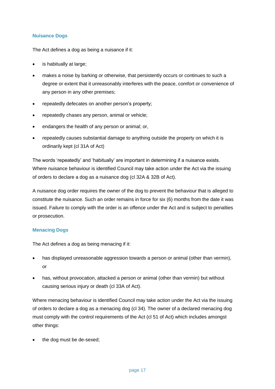### **Nuisance Dogs**

The Act defines a dog as being a nuisance if it:

- is habitually at large;
- makes a noise by barking or otherwise, that persistently occurs or continues to such a degree or extent that it unreasonably interferes with the peace, comfort or convenience of any person in any other premises;
- repeatedly defecates on another person's property;
- repeatedly chases any person, animal or vehicle;
- endangers the health of any person or animal; or,
- repeatedly causes substantial damage to anything outside the property on which it is ordinarily kept (cl 31A of Act)

The words 'repeatedly' and 'habitually' are important in determining if a nuisance exists. Where nuisance behaviour is identified Council may take action under the Act via the issuing of orders to declare a dog as a nuisance dog (cl 32A & 32B of Act).

A nuisance dog order requires the owner of the dog to prevent the behaviour that is alleged to constitute the nuisance. Such an order remains in force for six (6) months from the date it was issued. Failure to comply with the order is an offence under the Act and is subject to penalties or prosecution.

#### **Menacing Dogs**

The Act defines a dog as being menacing if it:

- has displayed unreasonable aggression towards a person or animal (other than vermin), or
- has, without provocation, attacked a person or animal (other than vermin) but without causing serious injury or death (cl 33A of Act).

Where menacing behaviour is identified Council may take action under the Act via the issuing of orders to declare a dog as a menacing dog (cl 34). The owner of a declared menacing dog must comply with the control requirements of the Act (cl 51 of Act) which includes amongst other things:

the dog must be de-sexed;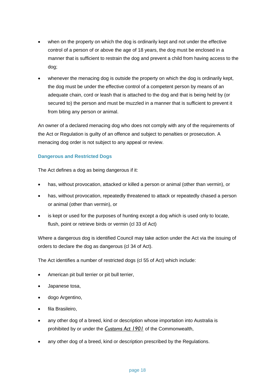- when on the property on which the dog is ordinarily kept and not under the effective control of a person of or above the age of 18 years, the dog must be enclosed in a manner that is sufficient to restrain the dog and prevent a child from having access to the dog;
- whenever the menacing dog is outside the property on which the dog is ordinarily kept, the dog must be under the effective control of a competent person by means of an adequate chain, cord or leash that is attached to the dog and that is being held by (or secured to) the person and must be muzzled in a manner that is sufficient to prevent it from biting any person or animal.

An owner of a declared menacing dog who does not comply with any of the requirements of the Act or Regulation is guilty of an offence and subject to penalties or prosecution. A menacing dog order is not subject to any appeal or review.

### **Dangerous and Restricted Dogs**

The Act defines a dog as being dangerous if it:

- has, without provocation, attacked or killed a person or animal (other than vermin), or
- has, without provocation, repeatedly threatened to attack or repeatedly chased a person or animal (other than vermin), or
- is kept or used for the purposes of hunting except a dog which is used only to locate, flush, point or retrieve birds or vermin (cl 33 of Act)

Where a dangerous dog is identified Council may take action under the Act via the issuing of orders to declare the dog as dangerous (cl 34 of Act).

The Act identifies a number of restricted dogs (cl 55 of Act) which include:

- American pit bull terrier or pit bull terrier,
- Japanese tosa,
- dogo Argentino,
- fila Brasileiro,
- any other dog of a breed, kind or description whose importation into Australia is prohibited by or under the *[Customs Act 1901](http://www.comlaw.gov.au/)* of the Commonwealth,
- any other dog of a breed, kind or description prescribed by the Regulations.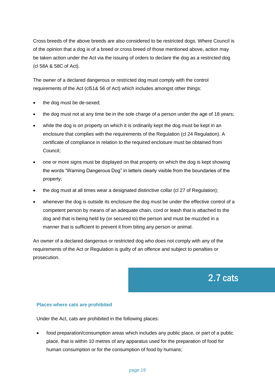Cross breeds of the above breeds are also considered to be restricted dogs. Where Council is of the opinion that a dog is of a breed or cross breed of those mentioned above, action may be taken action under the Act via the issuing of orders to declare the dog as a restricted dog (cl 58A & 58C of Act).

The owner of a declared dangerous or restricted dog must comply with the control requirements of the Act (cl51& 56 of Act) which includes amongst other things:

- the dog must be de-sexed;
- the dog must not at any time be in the sole charge of a person under the age of 18 years;
- while the dog is on property on which it is ordinarily kept the dog must be kept in an enclosure that complies with the requirements of the Regulation (cl 24 Regulation). A certificate of compliance in relation to the required enclosure must be obtained from Council;
- one or more signs must be displayed on that property on which the dog is kept showing the words "Warning Dangerous Dog" in letters clearly visible from the boundaries of the property;
- the dog must at all times wear a designated distinctive collar (cl 27 of Regulation);
- whenever the dog is outside its enclosure the dog must be under the effective control of a competent person by means of an adequate chain, cord or leash that is attached to the dog and that is being held by (or secured to) the person and must be muzzled in a manner that is sufficient to prevent it from biting any person or animal.

An owner of a declared dangerous or restricted dog who does not comply with any of the requirements of the Act or Regulation is guilty of an offence and subject to penalties or prosecution.

2.7 cats

#### **Places where cats are prohibited**

Under the Act, cats are prohibited in the following places:

 food preparation/consumption areas which includes any public place, or part of a public place, that is within 10 metres of any apparatus used for the preparation of food for human consumption or for the consumption of food by humans;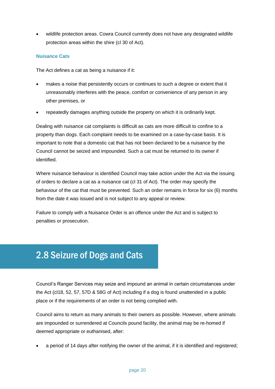wildlife protection areas. Cowra Council currently does not have any designated wildlife protection areas within the shire (cl 30 of Act).

### **Nuisance Cats**

The Act defines a cat as being a nuisance if it:

- makes a noise that persistently occurs or continues to such a degree or extent that it unreasonably interferes with the peace, comfort or convenience of any person in any other premises, or
- repeatedly damages anything outside the property on which it is ordinarily kept.

Dealing with nuisance cat complaints is difficult as cats are more difficult to confine to a property than dogs. Each complaint needs to be examined on a case-by-case basis. It is important to note that a domestic cat that has not been declared to be a nuisance by the Council cannot be seized and impounded. Such a cat must be returned to its owner if identified.

Where nuisance behaviour is identified Council may take action under the Act via the issuing of orders to declare a cat as a nuisance cat (cl 31 of Act). The order may specify the behaviour of the cat that must be prevented. Such an order remains in force for six (6) months from the date it was issued and is not subject to any appeal or review.

Failure to comply with a Nuisance Order is an offence under the Act and is subject to penalties or prosecution.

# 2.8 Seizure of Dogs and Cats

Council's Ranger Services may seize and impound an animal in certain circumstances under the Act (cl18, 52, 57, 57D & 58G of Act) including if a dog is found unattended in a public place or if the requirements of an order is not being complied with.

Council aims to return as many animals to their owners as possible. However, where animals are impounded or surrendered at Councils pound facility, the animal may be re-homed if deemed appropriate or euthanised, after:

a period of 14 days after notifying the owner of the animal, if it is identified and registered;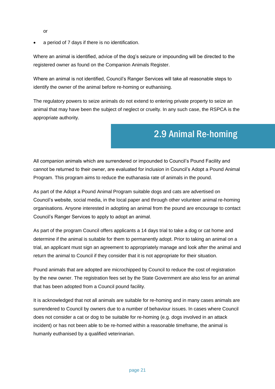- or
- a period of 7 days if there is no identification.

Where an animal is identified, advice of the dog's seizure or impounding will be directed to the registered owner as found on the Companion Animals Register.

Where an animal is not identified, Council's Ranger Services will take all reasonable steps to identify the owner of the animal before re-homing or euthanising.

The regulatory powers to seize animals do not extend to entering private property to seize an animal that may have been the subject of neglect or cruelty. In any such case, the RSPCA is the appropriate authority.

### 2.9 Animal Re-homing

All companion animals which are surrendered or impounded to Council's Pound Facility and cannot be returned to their owner, are evaluated for inclusion in Council's Adopt a Pound Animal Program. This program aims to reduce the euthanasia rate of animals in the pound.

As part of the Adopt a Pound Animal Program suitable dogs and cats are advertised on Council's website, social media, in the local paper and through other volunteer animal re-homing organisations. Anyone interested in adopting an animal from the pound are encourage to contact Council's Ranger Services to apply to adopt an animal.

As part of the program Council offers applicants a 14 days trial to take a dog or cat home and determine if the animal is suitable for them to permanently adopt. Prior to taking an animal on a trial, an applicant must sign an agreement to appropriately manage and look after the animal and return the animal to Council if they consider that it is not appropriate for their situation.

Pound animals that are adopted are microchipped by Council to reduce the cost of registration by the new owner. The registration fees set by the State Government are also less for an animal that has been adopted from a Council pound facility.

It is acknowledged that not all animals are suitable for re-homing and in many cases animals are surrendered to Council by owners due to a number of behaviour issues. In cases where Council does not consider a cat or dog to be suitable for re-homing (e.g. dogs involved in an attack incident) or has not been able to be re-homed within a reasonable timeframe, the animal is humanly euthanised by a qualified veterinarian.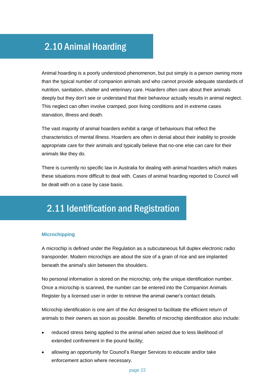### 2.10 Animal Hoarding

Animal hoarding is a poorly understood phenomenon, but put simply is a person owning more than the typical number of companion animals and who cannot provide adequate standards of nutrition, sanitation, shelter and veterinary care. Hoarders often care about their animals deeply but they don't see or understand that their behaviour actually results in animal neglect. This neglect can often involve cramped, poor living conditions and in extreme cases starvation, illness and death.

The vast majority of animal hoarders exhibit a range of behaviours that reflect the characteristics of mental illness. Hoarders are often in denial about their inability to provide appropriate care for their animals and typically believe that no-one else can care for their animals like they do.

There is currently no specific law in Australia for dealing with animal hoarders which makes these situations more difficult to deal with. Cases of animal hoarding reported to Council will be dealt with on a case by case basis.

# 2.11 Identification and Registration

### **Microchipping**

A microchip is defined under the Regulation as a subcutaneous full duplex electronic radio transponder. Modern microchips are about the size of a grain of rice and are implanted beneath the animal's skin between the shoulders.

No personal information is stored on the microchip, only the unique identification number. Once a microchip is scanned, the number can be entered into the Companion Animals Register by a licensed user in order to retrieve the animal owner's contact details.

Microchip identification is one aim of the Act designed to facilitate the efficient return of animals to their owners as soon as possible. Benefits of microchip identification also include:

- reduced stress being applied to the animal when seized due to less likelihood of extended confinement in the pound facility;
- allowing an opportunity for Council's Ranger Services to educate and/or take enforcement action where necessary.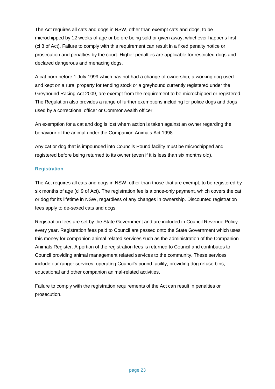The Act requires all cats and dogs in NSW, other than exempt cats and dogs, to be microchipped by 12 weeks of age or before being sold or given away, whichever happens first (cl 8 of Act). Failure to comply with this requirement can result in a fixed penalty notice or prosecution and penalties by the court. Higher penalties are applicable for restricted dogs and declared dangerous and menacing dogs.

A cat born before 1 July 1999 which has not had a change of ownership, a working dog used and kept on a rural property for tending stock or a greyhound currently registered under the Greyhound Racing Act 2009, are exempt from the requirement to be microchipped or registered. The Regulation also provides a range of further exemptions including for police dogs and dogs used by a correctional officer or Commonwealth officer.

An exemption for a cat and dog is lost whern action is taken against an owner regarding the behaviour of the animal under the Companion Animals Act 1998.

Any cat or dog that is impounded into Councils Pound facility must be microchipped and registered before being returned to its owner (even if it is less than six months old).

### **Registration**

The Act requires all cats and dogs in NSW, other than those that are exempt, to be registered by six months of age (cl 9 of Act). The registration fee is a once-only payment, which covers the cat or dog for its lifetime in NSW, regardless of any changes in ownership. Discounted registration fees apply to de-sexed cats and dogs.

Registration fees are set by the State Government and are included in Council Revenue Policy every year. Registration fees paid to Council are passed onto the State Government which uses this money for companion animal related services such as the administration of the Companion Animals Register. A portion of the registration fees is returned to Council and contributes to Council providing animal management related services to the community. These services include our ranger services, operating Council's pound facility, providing dog refuse bins, educational and other companion animal-related activities.

Failure to comply with the registration requirements of the Act can result in penalties or prosecution.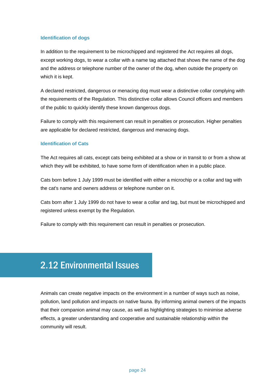### **Identification of dogs**

In addition to the requirement to be microchipped and registered the Act requires all dogs, except working dogs, to wear a collar with a name tag attached that shows the name of the dog and the address or telephone number of the owner of the dog, when outside the property on which it is kept.

A declared restricted, dangerous or menacing dog must wear a distinctive collar complying with the requirements of the Regulation. This distinctive collar allows Council officers and members of the public to quickly identify these known dangerous dogs.

Failure to comply with this requirement can result in penalties or prosecution. Higher penalties are applicable for declared restricted, dangerous and menacing dogs.

### **Identification of Cats**

The Act requires all cats, except cats being exhibited at a show or in transit to or from a show at which they will be exhibited, to have some form of identification when in a public place.

Cats born before 1 July 1999 must be identified with either a microchip or a collar and tag with the cat's name and owners address or telephone number on it.

Cats born after 1 July 1999 do not have to wear a collar and tag, but must be microchipped and registered unless exempt by the Regulation.

Failure to comply with this requirement can result in penalties or prosecution.

### 2.12 Environmental Issues

Animals can create negative impacts on the environment in a number of ways such as noise, pollution, land pollution and impacts on native fauna. By informing animal owners of the impacts that their companion animal may cause, as well as highlighting strategies to minimise adverse effects, a greater understanding and cooperative and sustainable relationship within the community will result.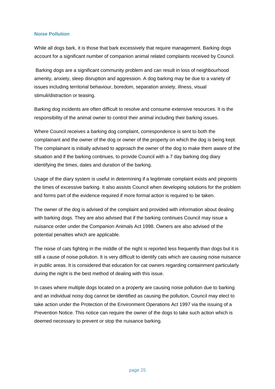### **Noise Pollution**

While all dogs bark, it is those that bark excessively that require management. Barking dogs account for a significant number of companion animal related complaints received by Council.

Barking dogs are a significant community problem and can result in loss of neighbourhood amenity, anxiety, sleep disruption and aggression. A dog barking may be due to a variety of issues including territorial behaviour, boredom, separation anxiety, illness, visual stimuli/distraction or teasing.

Barking dog incidents are often difficult to resolve and consume extensive resources. It is the responsibility of the animal owner to control their animal including their barking issues.

Where Council receives a barking dog complaint, correspondence is sent to both the complainant and the owner of the dog or owner of the property on which the dog is being kept. The complainant is initially advised to approach the owner of the dog to make them aware of the situation and if the barking continues, to provide Council with a 7 day barking dog diary identifying the times, dates and duration of the barking.

Usage of the diary system is useful in determining if a legitimate complaint exists and pinpoints the times of excessive barking. It also assists Council when developing solutions for the problem and forms part of the evidence required if more formal action is required to be taken.

The owner of the dog is advised of the complaint and provided with information about dealing with barking dogs. They are also advised that if the barking continues Council may issue a nuisance order under the Companion Animals Act 1998. Owners are also advised of the potential penalties which are applicable.

The noise of cats fighting in the middle of the night is reported less frequently than dogs but it is still a cause of noise pollution. It is very difficult to identify cats which are causing noise nuisance in public areas. It is considered that education for cat owners regarding containment particularly during the night is the best method of dealing with this issue.

In cases where multiple dogs located on a property are causing noise pollution due to barking and an individual noisy dog cannot be identified as causing the pollution, Council may elect to take action under the Protection of the Environment Operations Act 1997 via the issuing of a Prevention Notice. This notice can require the owner of the dogs to take such action which is deemed necessary to prevent or stop the nuisance barking.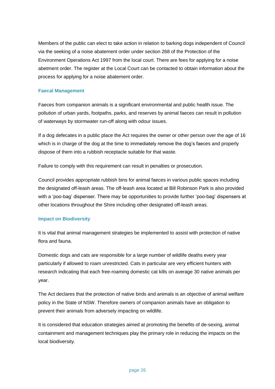Members of the public can elect to take action in relation to barking dogs independent of Council via the seeking of a noise abatement order under section 268 of the Protection of the Environment Operations Act 1997 from the local court. There are fees for applying for a noise abetment order. The register at the Local Court can be contacted to obtain information about the process for applying for a noise abatement order.

#### **Faecal Management**

Faeces from companion animals is a significant environmental and public health issue. The pollution of urban yards, footpaths, parks, and reserves by animal faeces can result in pollution of waterways by stormwater run-off along with odour issues.

If a dog defecates in a public place the Act requires the owner or other person over the age of 16 which is in charge of the dog at the time to immediately remove the dog's faeces and properly dispose of them into a rubbish receptacle suitable for that waste.

Failure to comply with this requirement can result in penalties or prosecution.

Council provides appropriate rubbish bins for animal faeces in various public spaces including the designated off-leash areas. The off-leash area located at Bill Robinson Park is also provided with a 'poo-bag' dispenser. There may be opportunities to provide further 'poo-bag' dispensers at other locations throughout the Shire including other designated off-leash areas.

### **Impact on Biodiversity**

It is vital that animal management strategies be implemented to assist with protection of native flora and fauna.

Domestic dogs and cats are responsible for a large number of wildlife deaths every year particularly if allowed to roam unrestricted. Cats in particular are very efficient hunters with research indicating that each free-roaming domestic cat kills on average 30 native animals per year.

The Act declares that the protection of native birds and animals is an objective of animal welfare policy in the State of NSW. Therefore owners of companion animals have an obligation to prevent their animals from adversely impacting on wildlife.

It is considered that education strategies aimed at promoting the benefits of de-sexing, animal containment and management techniques play the primary role in reducing the impacts on the local biodiversity.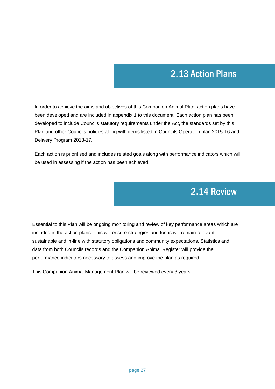### 2.13 Action Plans

In order to achieve the aims and objectives of this Companion Animal Plan, action plans have been developed and are included in appendix 1 to this document. Each action plan has been developed to include Councils statutory requirements under the Act, the standards set by this Plan and other Councils policies along with items listed in Councils Operation plan 2015-16 and Delivery Program 2013-17.

Each action is prioritised and includes related goals along with performance indicators which will be used in assessing if the action has been achieved.

### 2.14 Review

Essential to this Plan will be ongoing monitoring and review of key performance areas which are included in the action plans. This will ensure strategies and focus will remain relevant, sustainable and in-line with statutory obligations and community expectations. Statistics and data from both Councils records and the Companion Animal Register will provide the performance indicators necessary to assess and improve the plan as required.

This Companion Animal Management Plan will be reviewed every 3 years.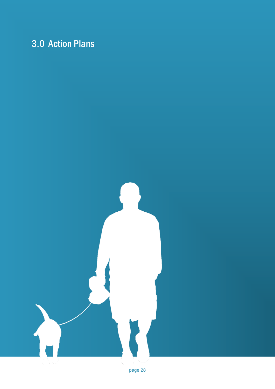# 3.0 Action Plans

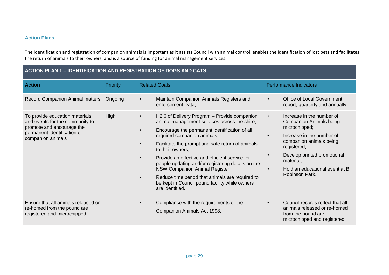#### **Action Plans**

The identification and registration of companion animals is important as it assists Council with animal control, enables the identification of lost pets and facilitates the return of animals to their owners, and is a source of funding for animal management services.

| ACTION PLAN 1 – IDENTIFICATION AND REGISTRATION OF DOGS AND CATS                                                                                   |          |                                                                                                                                                                                                                                                                                                                                                                                                                                                                                                                                                                                        |                                                                                                                                                                                                                                                                                  |  |
|----------------------------------------------------------------------------------------------------------------------------------------------------|----------|----------------------------------------------------------------------------------------------------------------------------------------------------------------------------------------------------------------------------------------------------------------------------------------------------------------------------------------------------------------------------------------------------------------------------------------------------------------------------------------------------------------------------------------------------------------------------------------|----------------------------------------------------------------------------------------------------------------------------------------------------------------------------------------------------------------------------------------------------------------------------------|--|
| <b>Action</b>                                                                                                                                      | Priority | <b>Related Goals</b>                                                                                                                                                                                                                                                                                                                                                                                                                                                                                                                                                                   | <b>Performance Indicators</b>                                                                                                                                                                                                                                                    |  |
| Record Companion Animal matters                                                                                                                    | Ongoing  | Maintain Companion Animals Registers and<br>enforcement Data;                                                                                                                                                                                                                                                                                                                                                                                                                                                                                                                          | Office of Local Government<br>report, quarterly and annually                                                                                                                                                                                                                     |  |
| To provide education materials<br>and events for the community to<br>promote and encourage the<br>permanent identification of<br>companion animals | High     | H2.6 of Delivery Program - Provide companion<br>$\bullet$<br>animal management services across the shire;<br>Encourage the permanent identification of all<br>$\bullet$<br>required companion animals;<br>Facilitate the prompt and safe return of animals<br>$\bullet$<br>to their owners;<br>Provide an effective and efficient service for<br>$\bullet$<br>people updating and/or registering details on the<br>NSW Companion Animal Register;<br>Reduce time period that animals are required to<br>$\bullet$<br>be kept in Council pound facility while owners<br>are identified. | Increase in the number of<br>$\bullet$<br><b>Companion Animals being</b><br>microchipped;<br>Increase in the number of<br>companion animals being<br>registered;<br>Develop printed promotional<br>material;<br>Hold an educational event at Bill<br>$\bullet$<br>Robinson Park. |  |
| Ensure that all animals released or<br>re-homed from the pound are<br>registered and microchipped.                                                 |          | Compliance with the requirements of the<br>$\bullet$<br>Companion Animals Act 1998;                                                                                                                                                                                                                                                                                                                                                                                                                                                                                                    | Council records reflect that all<br>$\bullet$<br>animals released or re-homed<br>from the pound are<br>microchipped and registered.                                                                                                                                              |  |

### **ACTION PLAN 1 – IDENTIFICATION AND REGISTRATION OF DOGS AND CATS**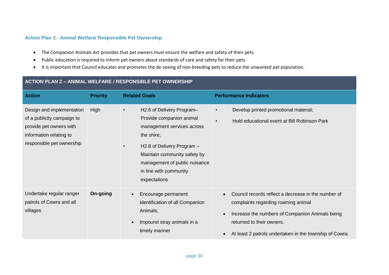#### **Action Plan 2 - Animal Welfare/ Responsible Pet Ownership**

- The Companion Animals Act provides that pet owners must ensure the welfare and safety of their pets.
- Public education is required to inform pet owners about standards of care and safety for their pets.
- It is important that Council educates and promotes the de-sexing of non-breeding pets to reduce the unwanted pet population.

| ACTION PLAN 2 - ANIMAL WELFARE / RESPONSIBLE PET OWNERSHIP                                                                                 |                 |                                                                                                                                                                                                                                            |                                                                                                                                                                                                                                      |
|--------------------------------------------------------------------------------------------------------------------------------------------|-----------------|--------------------------------------------------------------------------------------------------------------------------------------------------------------------------------------------------------------------------------------------|--------------------------------------------------------------------------------------------------------------------------------------------------------------------------------------------------------------------------------------|
| <b>Action</b>                                                                                                                              | <b>Priority</b> | <b>Related Goals</b>                                                                                                                                                                                                                       | <b>Performance Indicators</b>                                                                                                                                                                                                        |
| Design and implementation<br>of a publicity campaign to<br>provide pet owners with<br>information relating to<br>responsible pet ownership | High            | H2.6 of Delivery Program-<br>Provide companion animal<br>management services across<br>the shire;<br>H2.8 of Delivery Program -<br>Maintain community safety by<br>management of public nuisance<br>in line with community<br>expectations | Develop printed promotional material;<br>$\bullet$<br>Hold educational event at Bill Robinson Park<br>$\bullet$                                                                                                                      |
| Undertake regular ranger<br>patrols of Cowra and all<br>villages                                                                           | On-going        | Encourage permanent<br>$\bullet$<br>identification of all Companion<br>Animals;<br>Impound stray animals in a<br>$\bullet$<br>timely manner                                                                                                | Council records reflect a decrease in the number of<br>complaints regarding roaming animal<br>Increase the numbers of Companion Animals being<br>returned to their owners.<br>At least 2 patrols undertaken in the township of Cowra |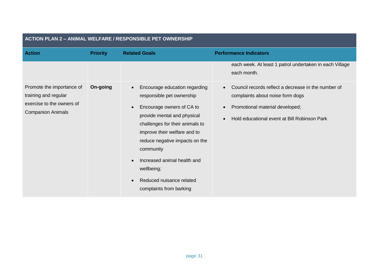| <b>Action</b>                                                                                              | <b>Priority</b> | <b>Related Goals</b>                                                                                                                                                                                                                                                                                                                                                                             | <b>Performance Indicators</b>                                                                                                                                                                                     |
|------------------------------------------------------------------------------------------------------------|-----------------|--------------------------------------------------------------------------------------------------------------------------------------------------------------------------------------------------------------------------------------------------------------------------------------------------------------------------------------------------------------------------------------------------|-------------------------------------------------------------------------------------------------------------------------------------------------------------------------------------------------------------------|
|                                                                                                            |                 |                                                                                                                                                                                                                                                                                                                                                                                                  | each week. At least 1 patrol undertaken in each Village<br>each month.                                                                                                                                            |
| Promote the importance of<br>training and regular<br>exercise to the owners of<br><b>Companion Animals</b> | On-going        | Encourage education regarding<br>$\bullet$<br>responsible pet ownership<br>Encourage owners of CA to<br>$\bullet$<br>provide mental and physical<br>challenges for their animals to<br>improve their welfare and to<br>reduce negative impacts on the<br>community<br>Increased animal health and<br>$\bullet$<br>wellbeing;<br>Reduced nuisance related<br>$\bullet$<br>complaints from barking | Council records reflect a decrease in the number of<br>$\bullet$<br>complaints about noise form dogs<br>Promotional material developed;<br>$\bullet$<br>Hold educational event at Bill Robinson Park<br>$\bullet$ |

### **ACTION PLAN 2 – ANIMAL WELFARE / RESPONSIBLE PET OWNERSHIP**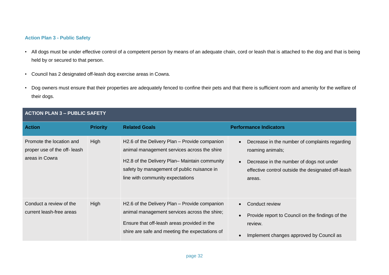### **Action Plan 3 - Public Safety**

- All dogs must be under effective control of a competent person by means of an adequate chain, cord or leash that is attached to the dog and that is being held by or secured to that person.
- Council has 2 designated off-leash dog exercise areas in Cowra.
- Dog owners must ensure that their properties are adequately fenced to confine their pets and that there is sufficient room and amenity for the welfare of their dogs.

| <b>ACTION PLAN 3 - PUBLIC SAFETY</b>                                       |                 |                                                                                                                                                                                                                                 |                                                                                                                                                                                |
|----------------------------------------------------------------------------|-----------------|---------------------------------------------------------------------------------------------------------------------------------------------------------------------------------------------------------------------------------|--------------------------------------------------------------------------------------------------------------------------------------------------------------------------------|
| <b>Action</b>                                                              | <b>Priority</b> | <b>Related Goals</b>                                                                                                                                                                                                            | <b>Performance Indicators</b>                                                                                                                                                  |
| Promote the location and<br>proper use of the off- leash<br>areas in Cowra | High            | H2.6 of the Delivery Plan – Provide companion<br>animal management services across the shire<br>H2.8 of the Delivery Plan– Maintain community<br>safety by management of public nuisance in<br>line with community expectations | Decrease in the number of complaints regarding<br>roaming animals;<br>Decrease in the number of dogs not under<br>effective control outside the designated off-leash<br>areas. |
| Conduct a review of the<br>current leash-free areas                        | High            | H2.6 of the Delivery Plan – Provide companion<br>animal management services across the shire;<br>Ensure that off-leash areas provided in the<br>shire are safe and meeting the expectations of                                  | Conduct review<br>$\bullet$<br>Provide report to Council on the findings of the<br>review.<br>Implement changes approved by Council as                                         |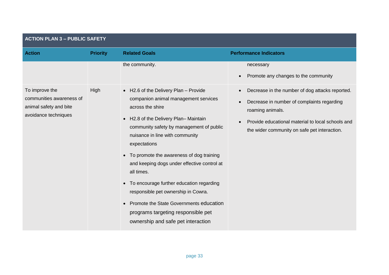| <b>ACTION PLAN 3 - PUBLIC SAFETY</b>                                                         |                 |                                                                                                                                                                                                                                                                                                                                                                                                                                                                                                                                                                 |                                                                                                                                                                                                                                     |
|----------------------------------------------------------------------------------------------|-----------------|-----------------------------------------------------------------------------------------------------------------------------------------------------------------------------------------------------------------------------------------------------------------------------------------------------------------------------------------------------------------------------------------------------------------------------------------------------------------------------------------------------------------------------------------------------------------|-------------------------------------------------------------------------------------------------------------------------------------------------------------------------------------------------------------------------------------|
| <b>Action</b>                                                                                | <b>Priority</b> | <b>Related Goals</b>                                                                                                                                                                                                                                                                                                                                                                                                                                                                                                                                            | <b>Performance Indicators</b>                                                                                                                                                                                                       |
|                                                                                              |                 | the community.                                                                                                                                                                                                                                                                                                                                                                                                                                                                                                                                                  | necessary<br>Promote any changes to the community                                                                                                                                                                                   |
| To improve the<br>communities awareness of<br>animal safety and bite<br>avoidance techniques | High            | • H2.6 of the Delivery Plan - Provide<br>companion animal management services<br>across the shire<br>• H2.8 of the Delivery Plan-Maintain<br>community safety by management of public<br>nuisance in line with community<br>expectations<br>• To promote the awareness of dog training<br>and keeping dogs under effective control at<br>all times.<br>• To encourage further education regarding<br>responsible pet ownership in Cowra.<br>Promote the State Governments education<br>programs targeting responsible pet<br>ownership and safe pet interaction | Decrease in the number of dog attacks reported.<br>Decrease in number of complaints regarding<br>roaming animals.<br>Provide educational material to local schools and<br>$\bullet$<br>the wider community on safe pet interaction. |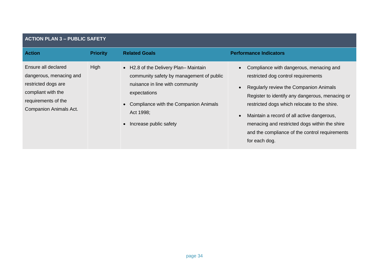| <b>ACTION PLAN 3 - PUBLIC SAFETY</b>                                                                                                                |                 |                                                                                                                                                                                                                         |                                                                                                                                                                                                                                                                                                                                                                                               |
|-----------------------------------------------------------------------------------------------------------------------------------------------------|-----------------|-------------------------------------------------------------------------------------------------------------------------------------------------------------------------------------------------------------------------|-----------------------------------------------------------------------------------------------------------------------------------------------------------------------------------------------------------------------------------------------------------------------------------------------------------------------------------------------------------------------------------------------|
| <b>Action</b>                                                                                                                                       | <b>Priority</b> | <b>Related Goals</b>                                                                                                                                                                                                    | <b>Performance Indicators</b>                                                                                                                                                                                                                                                                                                                                                                 |
| Ensure all declared<br>dangerous, menacing and<br>restricted dogs are<br>compliant with the<br>requirements of the<br><b>Companion Animals Act.</b> | High            | • H2.8 of the Delivery Plan-Maintain<br>community safety by management of public<br>nuisance in line with community<br>expectations<br>• Compliance with the Companion Animals<br>Act 1998;<br>• Increase public safety | Compliance with dangerous, menacing and<br>restricted dog control requirements<br>Regularly review the Companion Animals<br>Register to identify any dangerous, menacing or<br>restricted dogs which relocate to the shire.<br>Maintain a record of all active dangerous,<br>menacing and restricted dogs within the shire<br>and the compliance of the control requirements<br>for each dog. |

### page 34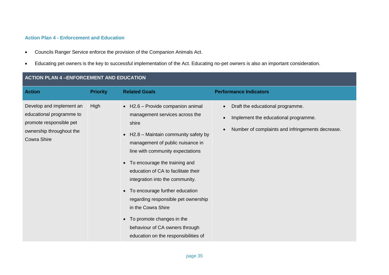### **Action Plan 4 - Enforcement and Education**

- Councils Ranger Service enforce the provision of the Companion Animals Act.
- Educating pet owners is the key to successful implementation of the Act. Educating no-pet owners is also an important consideration.

| <b>ACTION PLAN 4 -ENFORCEMENT AND EDUCATION</b>                                                                            |                 |                                                                                                                                                                                                                                                                                                                                                                                                                                                                                                                    |                                                                                                                              |  |
|----------------------------------------------------------------------------------------------------------------------------|-----------------|--------------------------------------------------------------------------------------------------------------------------------------------------------------------------------------------------------------------------------------------------------------------------------------------------------------------------------------------------------------------------------------------------------------------------------------------------------------------------------------------------------------------|------------------------------------------------------------------------------------------------------------------------------|--|
| <b>Action</b>                                                                                                              | <b>Priority</b> | <b>Related Goals</b>                                                                                                                                                                                                                                                                                                                                                                                                                                                                                               | <b>Performance Indicators</b>                                                                                                |  |
| Develop and implement an<br>educational programme to<br>promote responsible pet<br>ownership throughout the<br>Cowra Shire | High            | • H2.6 - Provide companion animal<br>management services across the<br>shire<br>H2.8 - Maintain community safety by<br>management of public nuisance in<br>line with community expectations<br>• To encourage the training and<br>education of CA to facilitate their<br>integration into the community.<br>• To encourage further education<br>regarding responsible pet ownership<br>in the Cowra Shire<br>• To promote changes in the<br>behaviour of CA owners through<br>education on the responsibilities of | Draft the educational programme.<br>Implement the educational programme.<br>Number of complaints and infringements decrease. |  |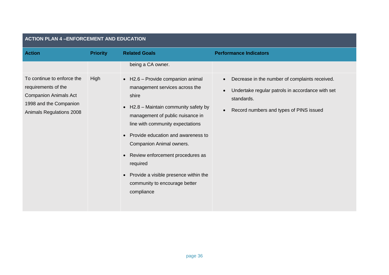| <b>ACTION PLAN 4 -ENFORCEMENT AND EDUCATION</b>                                                                                         |                 |                                                                                                                                                                                                                                                                                                                                                                                                                                              |                                                                                                                                                             |  |
|-----------------------------------------------------------------------------------------------------------------------------------------|-----------------|----------------------------------------------------------------------------------------------------------------------------------------------------------------------------------------------------------------------------------------------------------------------------------------------------------------------------------------------------------------------------------------------------------------------------------------------|-------------------------------------------------------------------------------------------------------------------------------------------------------------|--|
| <b>Action</b>                                                                                                                           | <b>Priority</b> | <b>Related Goals</b>                                                                                                                                                                                                                                                                                                                                                                                                                         | <b>Performance Indicators</b>                                                                                                                               |  |
|                                                                                                                                         |                 | being a CA owner.                                                                                                                                                                                                                                                                                                                                                                                                                            |                                                                                                                                                             |  |
| To continue to enforce the<br>requirements of the<br><b>Companion Animals Act</b><br>1998 and the Companion<br>Animals Regulations 2008 | High            | • H2.6 - Provide companion animal<br>management services across the<br>shire<br>H2.8 - Maintain community safety by<br>$\bullet$<br>management of public nuisance in<br>line with community expectations<br>Provide education and awareness to<br>$\bullet$<br>Companion Animal owners.<br>Review enforcement procedures as<br>$\bullet$<br>required<br>Provide a visible presence within the<br>community to encourage better<br>compliance | Decrease in the number of complaints received.<br>Undertake regular patrols in accordance with set<br>standards.<br>Record numbers and types of PINS issued |  |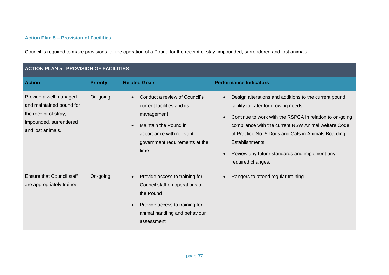### **Action Plan 5 – Provision of Facilities**

Council is required to make provisions for the operation of a Pound for the receipt of stay, impounded, surrendered and lost animals.

| <b>ACTION PLAN 5-PROVISION OF FACILITIES</b>                                                                               |                 |                                                                                                                                                                                       |                                                                                                                                                                                                                                                                                                                                                                                                |
|----------------------------------------------------------------------------------------------------------------------------|-----------------|---------------------------------------------------------------------------------------------------------------------------------------------------------------------------------------|------------------------------------------------------------------------------------------------------------------------------------------------------------------------------------------------------------------------------------------------------------------------------------------------------------------------------------------------------------------------------------------------|
| <b>Action</b>                                                                                                              | <b>Priority</b> | <b>Related Goals</b>                                                                                                                                                                  | <b>Performance Indicators</b>                                                                                                                                                                                                                                                                                                                                                                  |
| Provide a well managed<br>and maintained pound for<br>the receipt of stray,<br>impounded, surrendered<br>and lost animals. | On-going        | Conduct a review of Council's<br>current facilities and its<br>management<br>Maintain the Pound in<br>$\bullet$<br>accordance with relevant<br>government requirements at the<br>time | Design alterations and additions to the current pound<br>facility to cater for growing needs<br>Continue to work with the RSPCA in relation to on-going<br>$\bullet$<br>compliance with the current NSW Animal welfare Code<br>of Practice No. 5 Dogs and Cats in Animals Boarding<br><b>Establishments</b><br>Review any future standards and implement any<br>$\bullet$<br>required changes. |
| <b>Ensure that Council staff</b><br>are appropriately trained                                                              | On-going        | Provide access to training for<br>Council staff on operations of<br>the Pound<br>Provide access to training for<br>$\bullet$<br>animal handling and behaviour<br>assessment           | Rangers to attend regular training                                                                                                                                                                                                                                                                                                                                                             |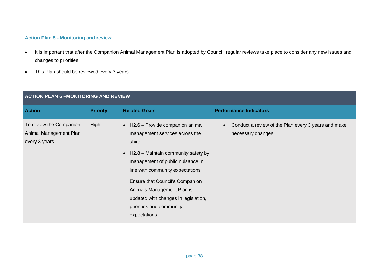### **Action Plan 5 - Monitoring and review**

- It is important that after the Companion Animal Management Plan is adopted by Council, regular reviews take place to consider any new issues and changes to priorities
- This Plan should be reviewed every 3 years.

| <b>ACTION PLAN 6-MONITORING AND REVIEW</b>                         |                 |                                                                                                                                                                                                                                                                                                                                                                     |                                                                           |
|--------------------------------------------------------------------|-----------------|---------------------------------------------------------------------------------------------------------------------------------------------------------------------------------------------------------------------------------------------------------------------------------------------------------------------------------------------------------------------|---------------------------------------------------------------------------|
| <b>Action</b>                                                      | <b>Priority</b> | <b>Related Goals</b>                                                                                                                                                                                                                                                                                                                                                | <b>Performance Indicators</b>                                             |
| To review the Companion<br>Animal Management Plan<br>every 3 years | High            | $\bullet$ H2.6 – Provide companion animal<br>management services across the<br>shire<br>$\bullet$ H2.8 – Maintain community safety by<br>management of public nuisance in<br>line with community expectations<br>Ensure that Council's Companion<br>Animals Management Plan is<br>updated with changes in legislation,<br>priorities and community<br>expectations. | Conduct a review of the Plan every 3 years and make<br>necessary changes. |